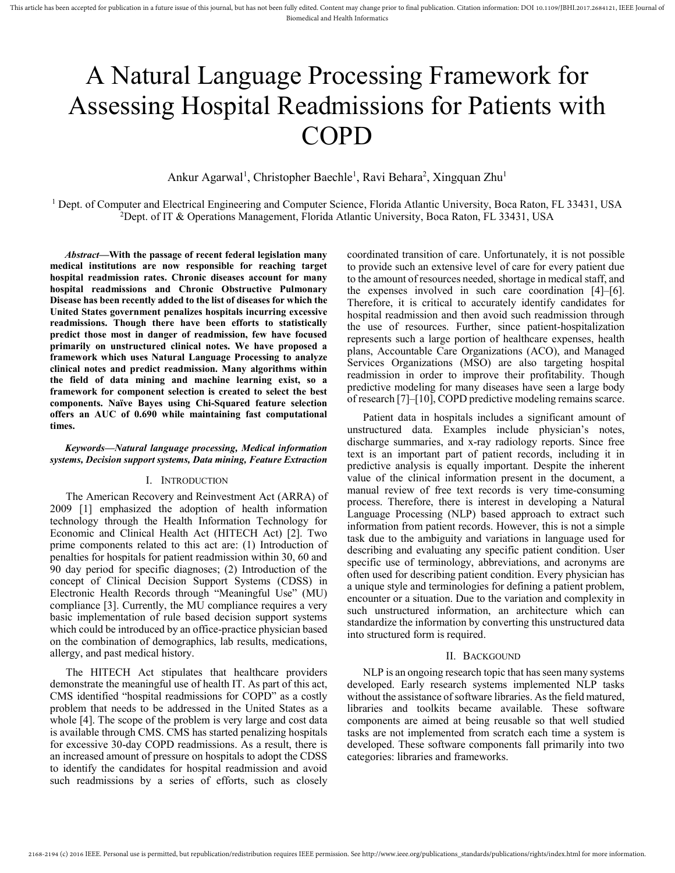# A Natural Language Processing Framework for Assessing Hospital Readmissions for Patients with COPD

Ankur Agarwal<sup>1</sup>, Christopher Baechle<sup>1</sup>, Ravi Behara<sup>2</sup>, Xingquan Zhu<sup>1</sup>

<sup>1</sup> Dept. of Computer and Electrical Engineering and Computer Science, Florida Atlantic University, Boca Raton, FL 33431, USA <sup>2</sup>Dept. of IT & Operations Management, Florida Atlantic University, Boca Raton, FL 33431, USA

*Abstract***—With the passage of recent federal legislation many medical institutions are now responsible for reaching target hospital readmission rates. Chronic diseases account for many hospital readmissions and Chronic Obstructive Pulmonary Disease has been recently added to the list of diseases for which the United States government penalizes hospitals incurring excessive readmissions. Though there have been efforts to statistically predict those most in danger of readmission, few have focused primarily on unstructured clinical notes. We have proposed a framework which uses Natural Language Processing to analyze clinical notes and predict readmission. Many algorithms within the field of data mining and machine learning exist, so a framework for component selection is created to select the best components. Naïve Bayes using Chi-Squared feature selection offers an AUC of 0.690 while maintaining fast computational times.** 

## *Keywords—Natural language processing, Medical information systems, Decision support systems, Data mining, Feature Extraction*

## I. INTRODUCTION

The American Recovery and Reinvestment Act (ARRA) of 2009 [1] emphasized the adoption of health information technology through the Health Information Technology for Economic and Clinical Health Act (HITECH Act) [2]. Two prime components related to this act are: (1) Introduction of penalties for hospitals for patient readmission within 30, 60 and 90 day period for specific diagnoses; (2) Introduction of the concept of Clinical Decision Support Systems (CDSS) in Electronic Health Records through "Meaningful Use" (MU) compliance [3]. Currently, the MU compliance requires a very basic implementation of rule based decision support systems which could be introduced by an office-practice physician based on the combination of demographics, lab results, medications, allergy, and past medical history.

The HITECH Act stipulates that healthcare providers demonstrate the meaningful use of health IT. As part of this act, CMS identified "hospital readmissions for COPD" as a costly problem that needs to be addressed in the United States as a whole [4]. The scope of the problem is very large and cost data is available through CMS. CMS has started penalizing hospitals for excessive 30-day COPD readmissions. As a result, there is an increased amount of pressure on hospitals to adopt the CDSS to identify the candidates for hospital readmission and avoid such readmissions by a series of efforts, such as closely

coordinated transition of care. Unfortunately, it is not possible to provide such an extensive level of care for every patient due to the amount of resources needed, shortage in medical staff, and the expenses involved in such care coordination [4]–[6]. Therefore, it is critical to accurately identify candidates for hospital readmission and then avoid such readmission through the use of resources. Further, since patient-hospitalization represents such a large portion of healthcare expenses, health plans, Accountable Care Organizations (ACO), and Managed Services Organizations (MSO) are also targeting hospital readmission in order to improve their profitability. Though predictive modeling for many diseases have seen a large body of research [7]–[10], COPD predictive modeling remains scarce.

Patient data in hospitals includes a significant amount of unstructured data. Examples include physician's notes, discharge summaries, and x-ray radiology reports. Since free text is an important part of patient records, including it in predictive analysis is equally important. Despite the inherent value of the clinical information present in the document, a manual review of free text records is very time-consuming process. Therefore, there is interest in developing a Natural Language Processing (NLP) based approach to extract such information from patient records. However, this is not a simple task due to the ambiguity and variations in language used for describing and evaluating any specific patient condition. User specific use of terminology, abbreviations, and acronyms are often used for describing patient condition. Every physician has a unique style and terminologies for defining a patient problem, encounter or a situation. Due to the variation and complexity in such unstructured information, an architecture which can standardize the information by converting this unstructured data into structured form is required.

## II. BACKGOUND

NLP is an ongoing research topic that has seen many systems developed. Early research systems implemented NLP tasks without the assistance of software libraries. As the field matured, libraries and toolkits became available. These software components are aimed at being reusable so that well studied tasks are not implemented from scratch each time a system is developed. These software components fall primarily into two categories: libraries and frameworks.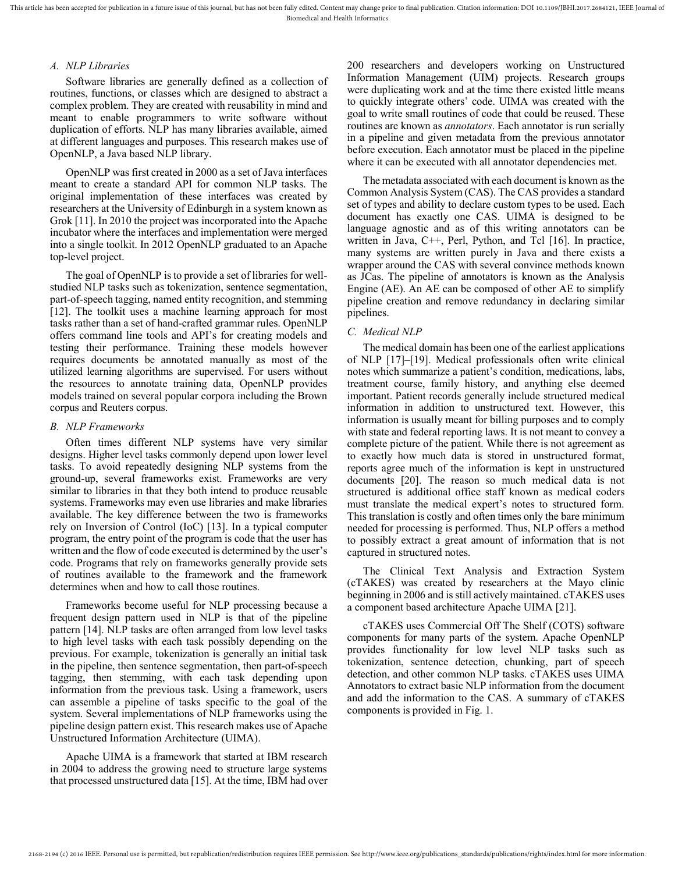## *A. NLP Libraries*

Software libraries are generally defined as a collection of routines, functions, or classes which are designed to abstract a complex problem. They are created with reusability in mind and meant to enable programmers to write software without duplication of efforts. NLP has many libraries available, aimed at different languages and purposes. This research makes use of OpenNLP, a Java based NLP library.

OpenNLP was first created in 2000 as a set of Java interfaces meant to create a standard API for common NLP tasks. The original implementation of these interfaces was created by researchers at the University of Edinburgh in a system known as Grok [11]. In 2010 the project was incorporated into the Apache incubator where the interfaces and implementation were merged into a single toolkit. In 2012 OpenNLP graduated to an Apache top-level project.

The goal of OpenNLP is to provide a set of libraries for wellstudied NLP tasks such as tokenization, sentence segmentation, part-of-speech tagging, named entity recognition, and stemming [12]. The toolkit uses a machine learning approach for most tasks rather than a set of hand-crafted grammar rules. OpenNLP offers command line tools and API's for creating models and testing their performance. Training these models however requires documents be annotated manually as most of the utilized learning algorithms are supervised. For users without the resources to annotate training data, OpenNLP provides models trained on several popular corpora including the Brown corpus and Reuters corpus.

## *B. NLP Frameworks*

Often times different NLP systems have very similar designs. Higher level tasks commonly depend upon lower level tasks. To avoid repeatedly designing NLP systems from the ground-up, several frameworks exist. Frameworks are very similar to libraries in that they both intend to produce reusable systems. Frameworks may even use libraries and make libraries available. The key difference between the two is frameworks rely on Inversion of Control (IoC) [13]. In a typical computer program, the entry point of the program is code that the user has written and the flow of code executed is determined by the user's code. Programs that rely on frameworks generally provide sets of routines available to the framework and the framework determines when and how to call those routines.

Frameworks become useful for NLP processing because a frequent design pattern used in NLP is that of the pipeline pattern [14]. NLP tasks are often arranged from low level tasks to high level tasks with each task possibly depending on the previous. For example, tokenization is generally an initial task in the pipeline, then sentence segmentation, then part-of-speech tagging, then stemming, with each task depending upon information from the previous task. Using a framework, users can assemble a pipeline of tasks specific to the goal of the system. Several implementations of NLP frameworks using the pipeline design pattern exist. This research makes use of Apache Unstructured Information Architecture (UIMA).

Apache UIMA is a framework that started at IBM research in 2004 to address the growing need to structure large systems that processed unstructured data [15]. At the time, IBM had over 200 researchers and developers working on Unstructured Information Management (UIM) projects. Research groups were duplicating work and at the time there existed little means to quickly integrate others' code. UIMA was created with the goal to write small routines of code that could be reused. These routines are known as *annotators*. Each annotator is run serially in a pipeline and given metadata from the previous annotator before execution. Each annotator must be placed in the pipeline where it can be executed with all annotator dependencies met.

The metadata associated with each document is known as the Common Analysis System (CAS). The CAS provides a standard set of types and ability to declare custom types to be used. Each document has exactly one CAS. UIMA is designed to be language agnostic and as of this writing annotators can be written in Java, C++, Perl, Python, and Tcl [16]. In practice, many systems are written purely in Java and there exists a wrapper around the CAS with several convince methods known as JCas. The pipeline of annotators is known as the Analysis Engine (AE). An AE can be composed of other AE to simplify pipeline creation and remove redundancy in declaring similar pipelines.

## *C. Medical NLP*

The medical domain has been one of the earliest applications of NLP [17]–[19]. Medical professionals often write clinical notes which summarize a patient's condition, medications, labs, treatment course, family history, and anything else deemed important. Patient records generally include structured medical information in addition to unstructured text. However, this information is usually meant for billing purposes and to comply with state and federal reporting laws. It is not meant to convey a complete picture of the patient. While there is not agreement as to exactly how much data is stored in unstructured format, reports agree much of the information is kept in unstructured documents [20]. The reason so much medical data is not structured is additional office staff known as medical coders must translate the medical expert's notes to structured form. This translation is costly and often times only the bare minimum needed for processing is performed. Thus, NLP offers a method to possibly extract a great amount of information that is not captured in structured notes.

The Clinical Text Analysis and Extraction System (cTAKES) was created by researchers at the Mayo clinic beginning in 2006 and is still actively maintained. cTAKES uses a component based architecture Apache UIMA [21].

cTAKES uses Commercial Off The Shelf (COTS) software components for many parts of the system. Apache OpenNLP provides functionality for low level NLP tasks such as tokenization, sentence detection, chunking, part of speech detection, and other common NLP tasks. cTAKES uses UIMA Annotators to extract basic NLP information from the document and add the information to the CAS. A summary of cTAKES components is provided in [Fig. 1.](#page-2-0)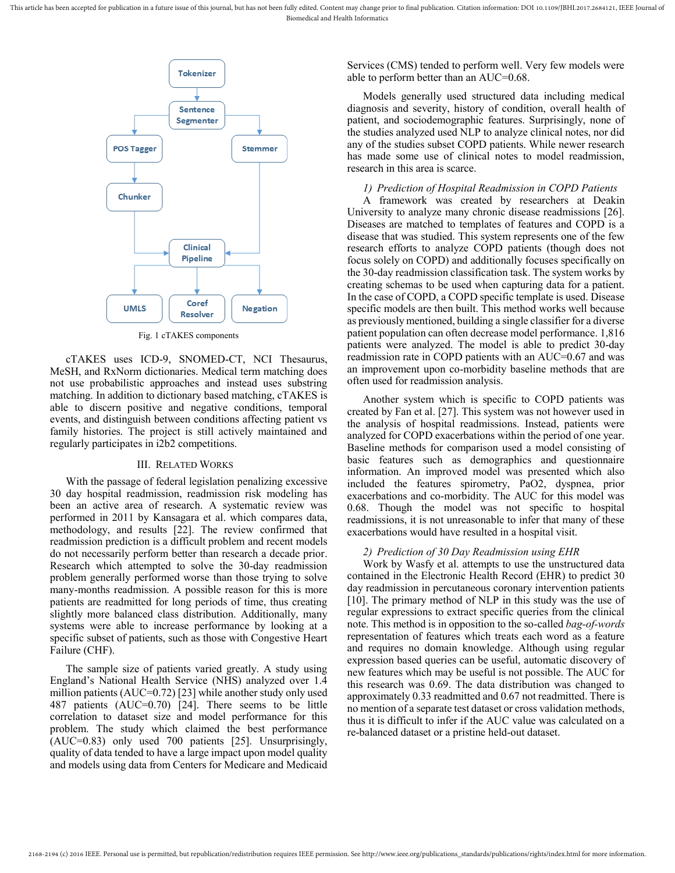This article has been accepted for publication in a future issue of this journal, but has not been fully edited. Content may change prior to final publication. Citation information: DOI 10.1109/JBHI.2017.2684121, IEEE Jour Biomedical and Health Informatics



<span id="page-2-0"></span>cTAKES uses ICD-9, SNOMED-CT, NCI Thesaurus, MeSH, and RxNorm dictionaries. Medical term matching does not use probabilistic approaches and instead uses substring matching. In addition to dictionary based matching, cTAKES is able to discern positive and negative conditions, temporal events, and distinguish between conditions affecting patient vs family histories. The project is still actively maintained and regularly participates in i2b2 competitions.

#### III. RELATED WORKS

With the passage of federal legislation penalizing excessive 30 day hospital readmission, readmission risk modeling has been an active area of research. A systematic review was performed in 2011 by Kansagara et al. which compares data, methodology, and results [22]. The review confirmed that readmission prediction is a difficult problem and recent models do not necessarily perform better than research a decade prior. Research which attempted to solve the 30-day readmission problem generally performed worse than those trying to solve many-months readmission. A possible reason for this is more patients are readmitted for long periods of time, thus creating slightly more balanced class distribution. Additionally, many systems were able to increase performance by looking at a specific subset of patients, such as those with Congestive Heart Failure (CHF).

The sample size of patients varied greatly. A study using England's National Health Service (NHS) analyzed over 1.4 million patients (AUC=0.72) [23] while another study only used 487 patients (AUC=0.70) [24]. There seems to be little correlation to dataset size and model performance for this problem. The study which claimed the best performance (AUC=0.83) only used 700 patients [25]. Unsurprisingly, quality of data tended to have a large impact upon model quality and models using data from Centers for Medicare and Medicaid Services (CMS) tended to perform well. Very few models were able to perform better than an AUC=0.68.

Models generally used structured data including medical diagnosis and severity, history of condition, overall health of patient, and sociodemographic features. Surprisingly, none of the studies analyzed used NLP to analyze clinical notes, nor did any of the studies subset COPD patients. While newer research has made some use of clinical notes to model readmission, research in this area is scarce.

## *1) Prediction of Hospital Readmission in COPD Patients*

A framework was created by researchers at Deakin University to analyze many chronic disease readmissions [26]. Diseases are matched to templates of features and COPD is a disease that was studied. This system represents one of the few research efforts to analyze COPD patients (though does not focus solely on COPD) and additionally focuses specifically on the 30-day readmission classification task. The system works by creating schemas to be used when capturing data for a patient. In the case of COPD, a COPD specific template is used. Disease specific models are then built. This method works well because as previously mentioned, building a single classifier for a diverse patient population can often decrease model performance. 1,816 patients were analyzed. The model is able to predict 30-day readmission rate in COPD patients with an AUC=0.67 and was an improvement upon co-morbidity baseline methods that are often used for readmission analysis.

Another system which is specific to COPD patients was created by Fan et al. [27]. This system was not however used in the analysis of hospital readmissions. Instead, patients were analyzed for COPD exacerbations within the period of one year. Baseline methods for comparison used a model consisting of basic features such as demographics and questionnaire information. An improved model was presented which also included the features spirometry, PaO2, dyspnea, prior exacerbations and co-morbidity. The AUC for this model was 0.68. Though the model was not specific to hospital readmissions, it is not unreasonable to infer that many of these exacerbations would have resulted in a hospital visit.

#### *2) Prediction of 30 Day Readmission using EHR*

Work by Wasfy et al. attempts to use the unstructured data contained in the Electronic Health Record (EHR) to predict 30 day readmission in percutaneous coronary intervention patients [10]. The primary method of NLP in this study was the use of regular expressions to extract specific queries from the clinical note. This method is in opposition to the so-called *bag-of-words* representation of features which treats each word as a feature and requires no domain knowledge. Although using regular expression based queries can be useful, automatic discovery of new features which may be useful is not possible. The AUC for this research was 0.69. The data distribution was changed to approximately 0.33 readmitted and 0.67 not readmitted. There is no mention of a separate test dataset or cross validation methods, thus it is difficult to infer if the AUC value was calculated on a re-balanced dataset or a pristine held-out dataset.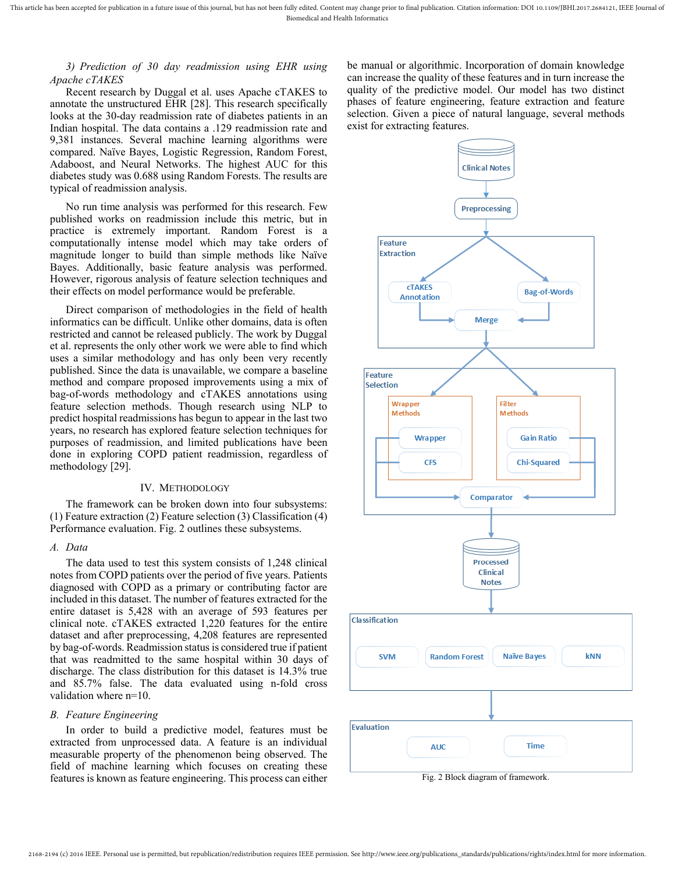## *3) Prediction of 30 day readmission using EHR using Apache cTAKES*

Recent research by Duggal et al. uses Apache cTAKES to annotate the unstructured EHR [28]. This research specifically looks at the 30-day readmission rate of diabetes patients in an Indian hospital. The data contains a .129 readmission rate and 9,381 instances. Several machine learning algorithms were compared. Naïve Bayes, Logistic Regression, Random Forest, Adaboost, and Neural Networks. The highest AUC for this diabetes study was 0.688 using Random Forests. The results are typical of readmission analysis.

No run time analysis was performed for this research. Few published works on readmission include this metric, but in practice is extremely important. Random Forest is a computationally intense model which may take orders of magnitude longer to build than simple methods like Naïve Bayes. Additionally, basic feature analysis was performed. However, rigorous analysis of feature selection techniques and their effects on model performance would be preferable.

Direct comparison of methodologies in the field of health informatics can be difficult. Unlike other domains, data is often restricted and cannot be released publicly. The work by Duggal et al. represents the only other work we were able to find which uses a similar methodology and has only been very recently published. Since the data is unavailable, we compare a baseline method and compare proposed improvements using a mix of bag-of-words methodology and cTAKES annotations using feature selection methods. Though research using NLP to predict hospital readmissions has begun to appear in the last two years, no research has explored feature selection techniques for purposes of readmission, and limited publications have been done in exploring COPD patient readmission, regardless of methodology [29].

## IV. METHODOLOGY

The framework can be broken down into four subsystems: (1) Feature extraction (2) Feature selection (3) Classification (4) Performance evaluation. [Fig. 2](#page-3-0) outlines these subsystems.

## *A. Data*

The data used to test this system consists of 1,248 clinical notes from COPD patients over the period of five years. Patients diagnosed with COPD as a primary or contributing factor are included in this dataset. The number of features extracted for the entire dataset is 5,428 with an average of 593 features per clinical note. cTAKES extracted 1,220 features for the entire dataset and after preprocessing, 4,208 features are represented by bag-of-words. Readmission status is considered true if patient that was readmitted to the same hospital within 30 days of discharge. The class distribution for this dataset is 14.3% true and 85.7% false. The data evaluated using n-fold cross validation where n=10.

## *B. Feature Engineering*

In order to build a predictive model, features must be extracted from unprocessed data. A feature is an individual measurable property of the phenomenon being observed. The field of machine learning which focuses on creating these features is known as feature engineering. This process can either

be manual or algorithmic. Incorporation of domain knowledge can increase the quality of these features and in turn increase the quality of the predictive model. Our model has two distinct phases of feature engineering, feature extraction and feature selection. Given a piece of natural language, several methods exist for extracting features.



<span id="page-3-0"></span>Fig. 2 Block diagram of framework.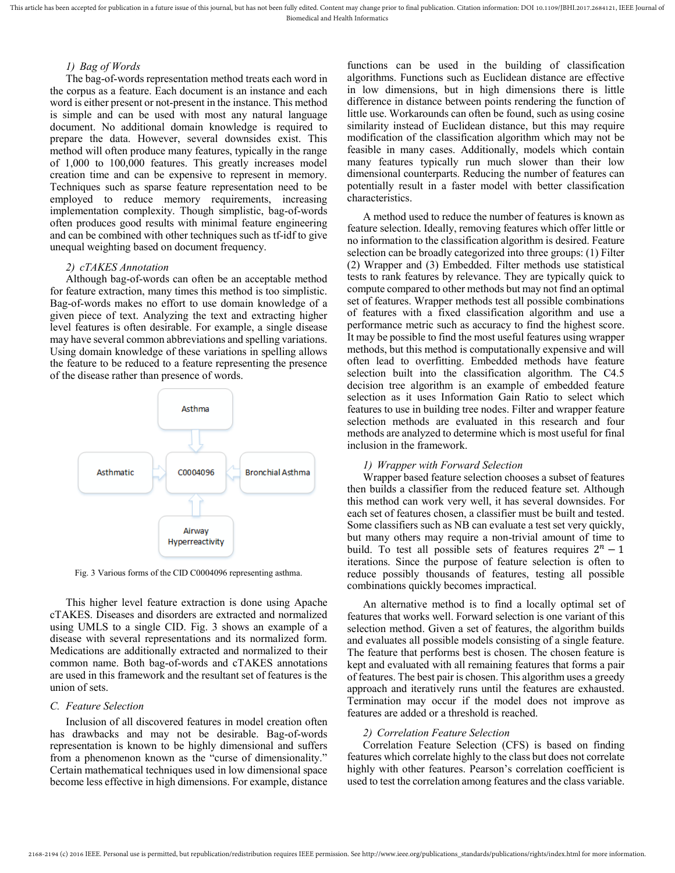This article has been accepted for publication in a future issue of this journal, but has not been fully edited. Content may change prior to final publication. Citation information: DOI 10.1109/JBHI.2017.2684121, IEEE Jour Biomedical and Health Informatics

## *1) Bag of Words*

The bag-of-words representation method treats each word in the corpus as a feature. Each document is an instance and each word is either present or not-present in the instance. This method is simple and can be used with most any natural language document. No additional domain knowledge is required to prepare the data. However, several downsides exist. This method will often produce many features, typically in the range of 1,000 to 100,000 features. This greatly increases model creation time and can be expensive to represent in memory. Techniques such as sparse feature representation need to be employed to reduce memory requirements, increasing implementation complexity. Though simplistic, bag-of-words often produces good results with minimal feature engineering and can be combined with other techniques such as tf-idf to give unequal weighting based on document frequency.

#### *2) cTAKES Annotation*

Although bag-of-words can often be an acceptable method for feature extraction, many times this method is too simplistic. Bag-of-words makes no effort to use domain knowledge of a given piece of text. Analyzing the text and extracting higher level features is often desirable. For example, a single disease may have several common abbreviations and spelling variations. Using domain knowledge of these variations in spelling allows the feature to be reduced to a feature representing the presence of the disease rather than presence of words.



<span id="page-4-0"></span>Fig. 3 Various forms of the CID C0004096 representing asthma.

This higher level feature extraction is done using Apache cTAKES. Diseases and disorders are extracted and normalized using UMLS to a single CID. [Fig. 3](#page-4-0) shows an example of a disease with several representations and its normalized form. Medications are additionally extracted and normalized to their common name. Both bag-of-words and cTAKES annotations are used in this framework and the resultant set of features is the union of sets.

#### *C. Feature Selection*

Inclusion of all discovered features in model creation often has drawbacks and may not be desirable. Bag-of-words representation is known to be highly dimensional and suffers from a phenomenon known as the "curse of dimensionality." Certain mathematical techniques used in low dimensional space become less effective in high dimensions. For example, distance

functions can be used in the building of classification algorithms. Functions such as Euclidean distance are effective in low dimensions, but in high dimensions there is little difference in distance between points rendering the function of little use. Workarounds can often be found, such as using cosine similarity instead of Euclidean distance, but this may require modification of the classification algorithm which may not be feasible in many cases. Additionally, models which contain many features typically run much slower than their low dimensional counterparts. Reducing the number of features can potentially result in a faster model with better classification characteristics.

A method used to reduce the number of features is known as feature selection. Ideally, removing features which offer little or no information to the classification algorithm is desired. Feature selection can be broadly categorized into three groups: (1) Filter (2) Wrapper and (3) Embedded. Filter methods use statistical tests to rank features by relevance. They are typically quick to compute compared to other methods but may not find an optimal set of features. Wrapper methods test all possible combinations of features with a fixed classification algorithm and use a performance metric such as accuracy to find the highest score. It may be possible to find the most useful features using wrapper methods, but this method is computationally expensive and will often lead to overfitting. Embedded methods have feature selection built into the classification algorithm. The C4.5 decision tree algorithm is an example of embedded feature selection as it uses Information Gain Ratio to select which features to use in building tree nodes. Filter and wrapper feature selection methods are evaluated in this research and four methods are analyzed to determine which is most useful for final inclusion in the framework.

## *1) Wrapper with Forward Selection*

Wrapper based feature selection chooses a subset of features then builds a classifier from the reduced feature set. Although this method can work very well, it has several downsides. For each set of features chosen, a classifier must be built and tested. Some classifiers such as NB can evaluate a test set very quickly, but many others may require a non-trivial amount of time to build. To test all possible sets of features requires  $2^n - 1$ iterations. Since the purpose of feature selection is often to reduce possibly thousands of features, testing all possible combinations quickly becomes impractical.

An alternative method is to find a locally optimal set of features that works well. Forward selection is one variant of this selection method. Given a set of features, the algorithm builds and evaluates all possible models consisting of a single feature. The feature that performs best is chosen. The chosen feature is kept and evaluated with all remaining features that forms a pair of features. The best pair is chosen. This algorithm uses a greedy approach and iteratively runs until the features are exhausted. Termination may occur if the model does not improve as features are added or a threshold is reached.

#### *2) Correlation Feature Selection*

Correlation Feature Selection (CFS) is based on finding features which correlate highly to the class but does not correlate highly with other features. Pearson's correlation coefficient is used to test the correlation among features and the class variable.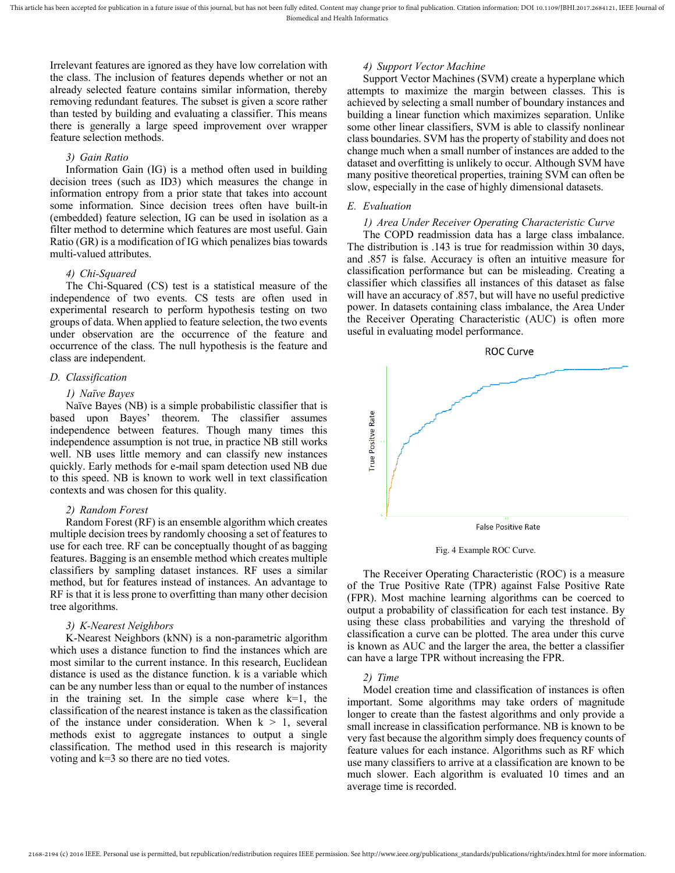Irrelevant features are ignored as they have low correlation with the class. The inclusion of features depends whether or not an already selected feature contains similar information, thereby removing redundant features. The subset is given a score rather than tested by building and evaluating a classifier. This means there is generally a large speed improvement over wrapper feature selection methods.

## *3) Gain Ratio*

Information Gain (IG) is a method often used in building decision trees (such as ID3) which measures the change in information entropy from a prior state that takes into account some information. Since decision trees often have built-in (embedded) feature selection, IG can be used in isolation as a filter method to determine which features are most useful. Gain Ratio (GR) is a modification of IG which penalizes bias towards multi-valued attributes.

## *4) Chi-Squared*

The Chi-Squared (CS) test is a statistical measure of the independence of two events. CS tests are often used in experimental research to perform hypothesis testing on two groups of data. When applied to feature selection, the two events under observation are the occurrence of the feature and occurrence of the class. The null hypothesis is the feature and class are independent.

#### *D. Classification*

#### *1) Naïve Bayes*

Naïve Bayes (NB) is a simple probabilistic classifier that is based upon Bayes' theorem. The classifier assumes independence between features. Though many times this independence assumption is not true, in practice NB still works well. NB uses little memory and can classify new instances quickly. Early methods for e-mail spam detection used NB due to this speed. NB is known to work well in text classification contexts and was chosen for this quality.

## *2) Random Forest*

Random Forest (RF) is an ensemble algorithm which creates multiple decision trees by randomly choosing a set of features to use for each tree. RF can be conceptually thought of as bagging features. Bagging is an ensemble method which creates multiple classifiers by sampling dataset instances. RF uses a similar method, but for features instead of instances. An advantage to RF is that it is less prone to overfitting than many other decision tree algorithms.

# *3) K-Nearest Neighbors*

K-Nearest Neighbors (kNN) is a non-parametric algorithm which uses a distance function to find the instances which are most similar to the current instance. In this research, Euclidean distance is used as the distance function. k is a variable which can be any number less than or equal to the number of instances in the training set. In the simple case where  $k=1$ , the classification of the nearest instance is taken as the classification of the instance under consideration. When  $k > 1$ , several methods exist to aggregate instances to output a single classification. The method used in this research is majority voting and k=3 so there are no tied votes.

## *4) Support Vector Machine*

Support Vector Machines (SVM) create a hyperplane which attempts to maximize the margin between classes. This is achieved by selecting a small number of boundary instances and building a linear function which maximizes separation. Unlike some other linear classifiers, SVM is able to classify nonlinear class boundaries. SVM has the property of stability and does not change much when a small number of instances are added to the dataset and overfitting is unlikely to occur. Although SVM have many positive theoretical properties, training SVM can often be slow, especially in the case of highly dimensional datasets.

## *E. Evaluation*

#### *1) Area Under Receiver Operating Characteristic Curve*

The COPD readmission data has a large class imbalance. The distribution is .143 is true for readmission within 30 days, and .857 is false. Accuracy is often an intuitive measure for classification performance but can be misleading. Creating a classifier which classifies all instances of this dataset as false will have an accuracy of .857, but will have no useful predictive power. In datasets containing class imbalance, the Area Under the Receiver Operating Characteristic (AUC) is often more useful in evaluating model performance.



#### Fig. 4 Example ROC Curve.

The Receiver Operating Characteristic (ROC) is a measure of the True Positive Rate (TPR) against False Positive Rate (FPR). Most machine learning algorithms can be coerced to output a probability of classification for each test instance. By using these class probabilities and varying the threshold of classification a curve can be plotted. The area under this curve is known as AUC and the larger the area, the better a classifier can have a large TPR without increasing the FPR.

## *2) Time*

Model creation time and classification of instances is often important. Some algorithms may take orders of magnitude longer to create than the fastest algorithms and only provide a small increase in classification performance. NB is known to be very fast because the algorithm simply does frequency counts of feature values for each instance. Algorithms such as RF which use many classifiers to arrive at a classification are known to be much slower. Each algorithm is evaluated 10 times and an average time is recorded.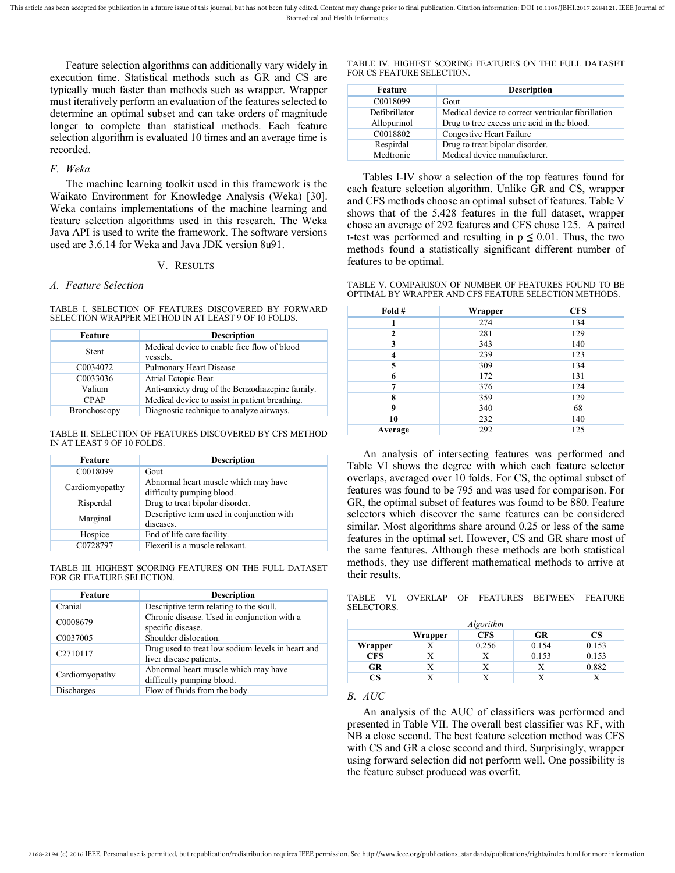Feature selection algorithms can additionally vary widely in execution time. Statistical methods such as GR and CS are typically much faster than methods such as wrapper. Wrapper must iteratively perform an evaluation of the features selected to determine an optimal subset and can take orders of magnitude longer to complete than statistical methods. Each feature selection algorithm is evaluated 10 times and an average time is recorded.

#### *F. Weka*

The machine learning toolkit used in this framework is the Waikato Environment for Knowledge Analysis (Weka) [30]. Weka contains implementations of the machine learning and feature selection algorithms used in this research. The Weka Java API is used to write the framework. The software versions used are 3.6.14 for Weka and Java JDK version 8u91.

## V. RESULTS

## *A. Feature Selection*

TABLE I. SELECTION OF FEATURES DISCOVERED BY FORWARD SELECTION WRAPPER METHOD IN AT LEAST 9 OF 10 FOLDS.

| Feature               | <b>Description</b>                                      |
|-----------------------|---------------------------------------------------------|
| Stent                 | Medical device to enable free flow of blood<br>vessels. |
| C <sub>00</sub> 34072 | Pulmonary Heart Disease                                 |
| C0033036              | Atrial Ectopic Beat                                     |
| Valium                | Anti-anxiety drug of the Benzodiazepine family.         |
| <b>CPAP</b>           | Medical device to assist in patient breathing.          |
| Bronchoscopy          | Diagnostic technique to analyze airways.                |

#### TABLE II. SELECTION OF FEATURES DISCOVERED BY CFS METHOD IN AT LEAST 9 OF 10 FOLDS.

| Feature        | <b>Description</b>                                                |
|----------------|-------------------------------------------------------------------|
| C0018099       | Gout                                                              |
| Cardiomyopathy | Abnormal heart muscle which may have<br>difficulty pumping blood. |
| Risperdal      | Drug to treat bipolar disorder.                                   |
| Marginal       | Descriptive term used in conjunction with<br>diseases.            |
| Hospice        | End of life care facility.                                        |
| C0728797       | Flexeril is a muscle relaxant.                                    |

TABLE III. HIGHEST SCORING FEATURES ON THE FULL DATASET FOR GR FEATURE SELECTION.

| Feature              | <b>Description</b>                                                           |
|----------------------|------------------------------------------------------------------------------|
| Cranial              | Descriptive term relating to the skull.                                      |
| C0008679             | Chronic disease. Used in conjunction with a<br>specific disease.             |
| C0037005             | Shoulder dislocation.                                                        |
| C <sub>2710117</sub> | Drug used to treat low sodium levels in heart and<br>liver disease patients. |
| Cardiomyopathy       | Abnormal heart muscle which may have<br>difficulty pumping blood.            |
| Discharges           | Flow of fluids from the body.                                                |

#### TABLE IV. HIGHEST SCORING FEATURES ON THE FULL DATASET FOR CS FEATURE SELECTION.

| <b>Description</b>                                 |
|----------------------------------------------------|
| Gout                                               |
| Medical device to correct ventricular fibrillation |
| Drug to tree excess uric acid in the blood.        |
| Congestive Heart Failure                           |
| Drug to treat bipolar disorder.                    |
| Medical device manufacturer.                       |
|                                                    |

Tables I-IV show a selection of the top features found for each feature selection algorithm. Unlike GR and CS, wrapper and CFS methods choose an optimal subset of features. Table V shows that of the 5,428 features in the full dataset, wrapper chose an average of 292 features and CFS chose 125. A paired t-test was performed and resulting in  $p \leq 0.01$ . Thus, the two methods found a statistically significant different number of features to be optimal.

TABLE V. COMPARISON OF NUMBER OF FEATURES FOUND TO BE OPTIMAL BY WRAPPER AND CFS FEATURE SELECTION METHODS.

| Fold #       | Wrapper | <b>CFS</b> |
|--------------|---------|------------|
|              | 274     | 134        |
| $\mathbf{2}$ | 281     | 129        |
| 3            | 343     | 140        |
| 4            | 239     | 123        |
| 5            | 309     | 134        |
| 6            | 172     | 131        |
| 7            | 376     | 124        |
| 8            | 359     | 129        |
| 9            | 340     | 68         |
| 10           | 232     | 140        |
| Average      | 292     | 125        |

An analysis of intersecting features was performed and Table VI shows the degree with which each feature selector overlaps, averaged over 10 folds. For CS, the optimal subset of features was found to be 795 and was used for comparison. For GR, the optimal subset of features was found to be 880. Feature selectors which discover the same features can be considered similar. Most algorithms share around 0.25 or less of the same features in the optimal set. However, CS and GR share most of the same features. Although these methods are both statistical methods, they use different mathematical methods to arrive at their results.

TABLE VI. OVERLAP OF FEATURES BETWEEN FEATURE SELECTORS.

| <b>Algorithm</b> |         |            |       |       |  |
|------------------|---------|------------|-------|-------|--|
|                  | Wrapper | <b>CFS</b> | GR    | CS    |  |
| Wrapper          |         | 0.256      | 0.154 | 0.153 |  |
| <b>CFS</b>       |         |            | 0.153 | 0.153 |  |
| GR               |         |            |       | 0.882 |  |
| CS               |         |            |       |       |  |

# *B. AUC*

An analysis of the AUC of classifiers was performed and presented in Table VII. The overall best classifier was RF, with NB a close second. The best feature selection method was CFS with CS and GR a close second and third. Surprisingly, wrapper using forward selection did not perform well. One possibility is the feature subset produced was overfit.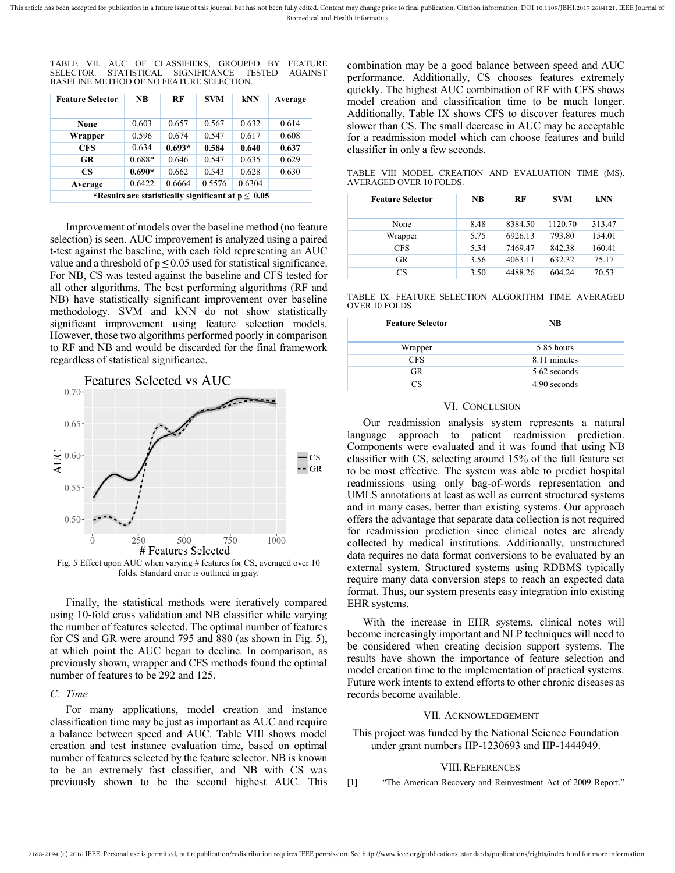|  |  | TABLE VII. AUC OF CLASSIFIERS. GROUPED BY FEATURE |  |  |
|--|--|---------------------------------------------------|--|--|
|  |  | SELECTOR. STATISTICAL SIGNIFICANCE TESTED AGAINST |  |  |
|  |  | BASELINE METHOD OF NO FEATURE SELECTION.          |  |  |

| <b>Feature Selector</b> | <b>NB</b>                                               | RF       | <b>SVM</b> | kNN    | Average |
|-------------------------|---------------------------------------------------------|----------|------------|--------|---------|
| None                    | 0.603                                                   | 0.657    | 0.567      | 0.632  | 0.614   |
| Wrapper                 | 0.596                                                   | 0.674    | 0.547      | 0.617  | 0.608   |
| <b>CFS</b>              | 0.634                                                   | $0.693*$ | 0.584      | 0.640  | 0.637   |
| GR                      | $0.688*$                                                | 0.646    | 0.547      | 0.635  | 0.629   |
| CS.                     | $0.690*$                                                | 0.662    | 0.543      | 0.628  | 0.630   |
| Average                 | 0.6422                                                  | 0.6664   | 0.5576     | 0.6304 |         |
|                         | *Results are statistically significant at $p \leq 0.05$ |          |            |        |         |

Improvement of models over the baseline method (no feature selection) is seen. AUC improvement is analyzed using a paired t-test against the baseline, with each fold representing an AUC value and a threshold of  $p \leq 0.05$  used for statistical significance. For NB, CS was tested against the baseline and CFS tested for all other algorithms. The best performing algorithms (RF and NB) have statistically significant improvement over baseline methodology. SVM and kNN do not show statistically significant improvement using feature selection models. However, those two algorithms performed poorly in comparison to RF and NB and would be discarded for the final framework regardless of statistical significance.



<span id="page-7-0"></span>Fig. 5 Effect upon AUC when varying # features for CS, averaged over 10 folds. Standard error is outlined in gray.

Finally, the statistical methods were iteratively compared using 10-fold cross validation and NB classifier while varying the number of features selected. The optimal number of features for CS and GR were around 795 and 880 (as shown in [Fig. 5\)](#page-7-0), at which point the AUC began to decline. In comparison, as previously shown, wrapper and CFS methods found the optimal number of features to be 292 and 125.

## *C. Time*

For many applications, model creation and instance classification time may be just as important as AUC and require a balance between speed and AUC. Table VIII shows model creation and test instance evaluation time, based on optimal number of features selected by the feature selector. NB is known to be an extremely fast classifier, and NB with CS was previously shown to be the second highest AUC. This

combination may be a good balance between speed and AUC performance. Additionally, CS chooses features extremely quickly. The highest AUC combination of RF with CFS shows model creation and classification time to be much longer. Additionally, Table IX shows CFS to discover features much slower than CS. The small decrease in AUC may be acceptable for a readmission model which can choose features and build classifier in only a few seconds.

TABLE VIII MODEL CREATION AND EVALUATION TIME (MS). AVERAGED OVER 10 FOLDS.

| <b>Feature Selector</b> | <b>NB</b> | RF      | <b>SVM</b> | kNN    |
|-------------------------|-----------|---------|------------|--------|
| None                    | 8.48      | 8384.50 | 1120.70    | 313.47 |
| Wrapper                 | 5.75      | 6926.13 | 793.80     | 154.01 |
| <b>CFS</b>              | 5.54      | 7469.47 | 842.38     | 160.41 |
| <b>GR</b>               | 3.56      | 4063.11 | 632.32     | 75.17  |
| CS                      | 3.50      | 4488.26 | 604.24     | 70.53  |

TABLE IX. FEATURE SELECTION ALGORITHM TIME. AVERAGED OVER 10 FOLDS.

| <b>Feature Selector</b> | <b>NB</b>    |
|-------------------------|--------------|
| Wrapper                 | 5.85 hours   |
| <b>CFS</b>              | 8.11 minutes |
| <b>GR</b>               | 5.62 seconds |
| CS                      | 4.90 seconds |

## VI. CONCLUSION

Our readmission analysis system represents a natural language approach to patient readmission prediction. Components were evaluated and it was found that using NB classifier with CS, selecting around 15% of the full feature set to be most effective. The system was able to predict hospital readmissions using only bag-of-words representation and UMLS annotations at least as well as current structured systems and in many cases, better than existing systems. Our approach offers the advantage that separate data collection is not required for readmission prediction since clinical notes are already collected by medical institutions. Additionally, unstructured data requires no data format conversions to be evaluated by an external system. Structured systems using RDBMS typically require many data conversion steps to reach an expected data format. Thus, our system presents easy integration into existing EHR systems.

With the increase in EHR systems, clinical notes will become increasingly important and NLP techniques will need to be considered when creating decision support systems. The results have shown the importance of feature selection and model creation time to the implementation of practical systems. Future work intents to extend efforts to other chronic diseases as records become available.

#### VII. ACKNOWLEDGEMENT

This project was funded by the National Science Foundation under grant numbers IIP-1230693 and IIP-1444949.

#### VIII.REFERENCES

[1] "The American Recovery and Reinvestment Act of 2009 Report."